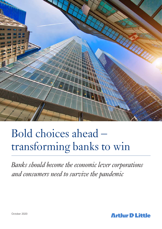

# Bold choices ahead – transforming banks to win

*Banks should become the economic lever corporations and consumers need to survive the pandemic*

**Arthur D Little**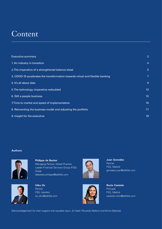## Content

| <b>Executive summary</b>                                                        | 3              |
|---------------------------------------------------------------------------------|----------------|
| 1. An industry in transition                                                    | $\overline{4}$ |
| 2. The imperative of a strengthened balance sheet                               | 5              |
| 3. COVID-19 accelerates the transformation towards virtual and flexible banking | 7              |
| 4. It's all about data                                                          | 9              |
| 5. The technology imperative redoubled                                          | 13             |
| 6. Still a people business                                                      | 15             |
| 7. Time to market and speed of implementation                                   | 16             |
| 8. Reinventing the business model and adjusting the portfolio                   | 17             |
| 9. Insight for the executive                                                    | 19             |
|                                                                                 |                |

### **Authors:**



**Philippe de Backer** Managing Partner, Global Practice Leader Financial Services Group (FSG) Dubai debacker.philippe@adlittle.com



**Utku Oz**  Partner FSG, Istanbul oz.utku@adlittle.com





**Juan González** Partner FSG, Madrid gonzalez.juan@adlittle.com

**Rocío Castedo** Principal FSG, Madrid castedo.rocio@adlittle.com

Acknowledgement for their support and valuable input: Jiri Steif, Riccardo Maltoni and Nima Obbohat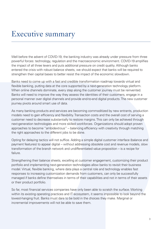## Executive summary

Well before the advent of COVID-19, the banking industry was already under pressure from three powerful forces: technology, regulation and the macroeconomic environment. COVID-19 amplifies the impact of all three levers and puts additional pressure on credit quality. Although banks entered the crisis with robust balance sheets, we should expect that banks will be required to strengthen their capital bases to better resist the impact of the economic slowdown.

Banks need to come up with a fast and credible transformation roadmap towards virtual and flexible banking, putting data at the core supported by a next-generation technology platform. When online channels dominate, every step along the customer journey must be reinvented. Banks will need to improve the way they assess the identities of their customers, engage in a personal manner over digital channels and provide end-to-end digital products. The new customer journey pivots around smart use of data.

As many banking products and services are becoming commoditized by new entrants, production models need to gain efficiency and flexibility. Transaction costs and the overall cost of serving a customer need to decrease substantially to restore margins. This can only be achieved through next-generation technologies and more skilled workforces. Organizations should adopt proven approaches to become "ambidextrous" – balancing efficiency with creativity through matching the right approaches to the different jobs to be done.

Opting for delaying tactics will not suffice. Adding a simple digital customer interface (balance and payment features) to appear digital – without addressing obsolete cost and revenue models, slow transformation of the branch network and undifferentiated value proposition – is a recipe for failure.

Strengthening their balance sheets, excelling at customer engagement, customizing their product portfolio and implementing next-generation technologies allow banks to revisit their business model. Virtual, flexible banking, where data plays a central role and technology enables fast responses to increasing customization demands from customers, can only be successfully managed if banks define themselves in terms of their capabilities and not in terms of their assets or their product portfolio.

So far, most financial services companies have only been able to scratch the surface. Working within its existing operating practices and IT ecosystem, it seems impossible to look beyond the lowest-hanging fruit. Banks must dare to be bold in the choices they make. Marginal or incremental improvements will not be able to save them.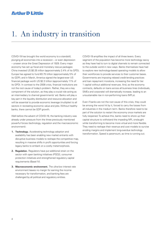## 1. An industry in transition

COVID-19 has brought the world economy to a standstill, plunging all economies into a recession – or even depression – unseen since the Great Depression of 1929. Every major economy has set up fiscal and monetary rescue packages: China invested US \$0.35 trillion (approximately 2.4% of its GPD); Europe has agreed to fund €0.75 trillion (approximately 5% of its GDP); and in March, America signed the largest-ever US financial package worth US \$2.3 trillion (approximately 11% of its GPD). In contrast to the 2008 crisis, financial institutions are not the root cause of today's problem. Rather, they are a key component of the solution, as they play a crucial role acting as an intermediary to channel governments' aid. Banks will play a key part in the liquidity distribution and resource allocation and will be essential to provide economic leverage (multiplier) to all sectors in recreating economic value and jobs. Without healthy banks, there cannot be GDP growth.

Well before the advent of COVID-19, the banking industry was already under pressure from the three previously mentioned powerful forces (technology, regulation and the macroeconomic environment):

- **1. Technology.** Accelerating technology adoption and availability has been enabling new market entrants with disruptive business models to reshape the competitive map, resulting in massive shifts in profit opportunities and forcing legacy banks to embark on a costly metamorphosis.
- **2. Regulation.** Regulators have put additional strain on the sector with open banking initiatives (PSD2), consumer protection initiatives and strengthened regulatory capital requirements (Basel IV).
- **3. Macroeconomic environment.** The ultra-low interest rate environment leaves no margin for earning the income necessary for transformation, and banking fees are challenged by all political and regulatory entities.

COVID-19 amplifies the impact of all three levers. Every segment of the population has become more technology savvy as they have had to turn to digital channels to remain connected to the outside world in new ways. Banks themselves have had to explore new technology-based operating models to allow their workforces to provide services to their customer bases. Governments are imposing relaxed credit-lending practices and loan repayment moratoria, increasing the need for tier 1 capital without additional revenues. And, as the economy contracts, defaults on loans across all business lines (individuals, SMEs and corporate) will dramatically increase, leading to an unsustainable rise in non-performing loans (NPLs).

Even if banks are not the root cause of this crisis, they could be among the worst hit by it, forced to carry the losses from all industries in the medium term. Banks therefore need to be part of the solution to restart the economy once markets are fully reopened. To achieve this, banks need to shore up their capital structure to withstand the impeding NPL onslaught while transforming to become more virtual and more flexible. They need to reshape their revenue and cost models to survive eroding margins and implement long-overdue technology transformation. Speed is paramount, as time is running out.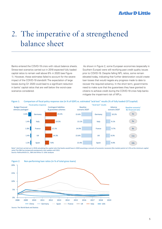## 2. The imperative of a strengthened balance sheet

Banks entered the COVID-19 crisis with robust balance sheets. Stress-test scenarios carried out in 2018 expected fully loaded capital ratios to remain well above 8% in 2020 (see Figure 1). However, these estimates failed to account for the severe impact of the COVID-19 standstill. The expectation of large losses during Q1 2020 could lead to a significant reduction in banks' capital ratios that are well below the worst-case scenarios considered.

 As shown in Figure 2, some European economies (especially in Southern Europe) were still rectifying past credit quality issues prior to COVID-19. Despite falling NPL ratios, some remain elevated today, indicating that further deterioration would create loan losses that would negate any progress made to date to recover the required solvency. In the short term, governments need to make sure that the guarantees they have granted to citizens to achieve credit during the COVID-19 crisis help banks mitigate the impairment risk of NPLs.





Note<sup>1</sup>: Acid test carried out in 2018 calculating the capital ratio that banks would have in 2020 assuming a scenario of economic recession (the market points to 5.5% as the minimum capital ratio).The EBA has temporarily postponed a test update until 2021 Source: Rothschild & Co., EBA and Arthur D. Little analyses



### Figure 2: Non-performing loan ratios (in % of total gross loans)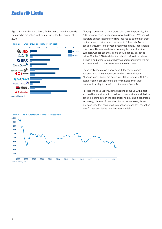Figure 3 shows how provisions for bad loans have dramatically increased in major financial institutions in the first quarter of 2020.



Although some form of regulatory relief could be possible, the 2008 financial crisis taught regulators a hard lesson. We should therefore expect that banks will be required to strengthen their capital bases to better resist the impact of the crisis. Many banks, particularly in the West, already trade below net tangible book value. Recommendations from regulators such as the European Central Bank that banks should not pay dividends before October 2020 (and that they should refrain from share buybacks and other forms of shareholder remuneration) will put additional strain on bank valuations in the short term.

These challenges make it very difficult for banks to raise additional capital without excessive shareholder dilution. Although legacy banks are delivering ROE in excess of 9–10%, capital markets are slamming their valuations given their perceived inability to transform quickly (see Figure 4).

To rebase their valuations, banks need to come up with a fast and credible transformation roadmap towards virtual and flexible banking, putting data at the core supported by a next-generation technology platform. Banks should consider removing those business lines that consume the most equity and that cannot be transformed and define new business models.

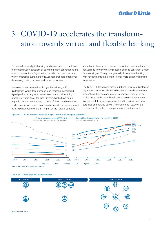## 3. COVID-19 accelerates the transformation towards virtual and flexible banking

For several years, digital banking has been touted as a solution to the distribution paradigm of delivering client convenience and ease of transactions. Digitalization has also provided banks a way of migrating customers to lower-cost channels, oftentimes decreasing costs to acquire and serve customers.

However, banks behaved as though the industry shift to digitalization would take decades, and therefore considered digital platforms only as a means to enhance their existing branch networks. Over the last 10 years, banks have begun to put in place a restructuring process of their branch network while continuing to invest in online channels to increase Internet banking usage (see Figure 5). As part of their digital strategy,

some banks have also converted part of their standard branch networks to new co-working spaces, such as Santander's Work Cafés or Virgin's Money Lounges, which combined banking with refreshments in an effort to offer more engaging banking experiences.

The COVID-19 lockdowns disrupted these initiatives. Customer segments that historically would not have considered remote channels as their primary form of interaction were given no choice but to embrace it. Retail banks have now been forced to rush into full digital engagement and to review their bank portfolios and service delivery to ensure each stage of the customers' life cycle is more personalized and relevant.

Figure 5: Bank branches restructuring vs. internet banking development





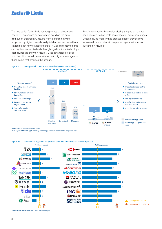The implication for banks is daunting across all dimensions. Banks will experience an accelerated switch in the omnidistribution channel mix, moving from a branch network supported by digital channels to digital channels supported by a limited branch network (see Figure 6). If well implemented, this can pay handsome dividends through significant non-technology cost savings (as shown in Figure 7). The advantages of scale with the old order will be substituted with digital advantages for those banks that embrace the change.

Best-in-class neobanks are also closing the gap on revenue per customer, trading scale advantages for digital advantages. Despite having more limited product ranges, they achieve a cross-sell ratio of almost two products per customer, as illustrated in Figure 8.

#### Figure 7: Average cash cost comparison (both OPEX and CAPEX)



Note: (1) As of May 2019, (2) Including technology, communications and IT employee costs

Figure 8: Neobanks & Legacy banks product portfolio and cross-sell ratio comparison



Source: Public information and Arthur D. Little analysis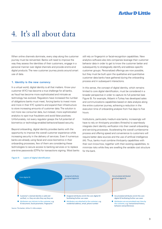## 4. It's all about data

When online channels dominate, every step along the customer journey must be reinvented. Banks will need to improve the way they assess the identities of their customers, engage in a personal manner over digital channels and provide end-to-end digital products. The new customer journey pivots around smart use of data.

#### **1. Identity is the new currency**

In a virtual world, digital identity is all that matters. Know your customer (KYC) has become a true challenge for all banks, as fraud has become more sophisticated and intricate as technology has evolved. Regulators have increased the number of obligations banks must meet, forcing banks to invest more and more in their KYC systems and expand their infrastructure to store increasing amounts of customer data. The solution is not more raw consumer data, but instead, more sophisticated analytics to spot true fraudsters and avoid false positives. Unfortunately, not every regulator grasps the full potential of biometrics or technology-enabled behavioral-based security.

Beyond onboarding, digital identity provides banks with the opportunity to improve the overall customer experience while increasing security in the delivery of services. Even if numerous banks are already using facial and voice biometrics in their onboarding processes, few of them are considering these technologies to secure access to banking services or to replace one-time passwords (OTPs) for transactions signing. Most banks still rely on fingerprint or facial-recognition capabilities. New analytics software also lets companies leverage their customer behavior data in order to get to know the customer better and subsequently to strategically identify and address specific customer groups. Personalized offerings are now possible, but they must be built upon the qualitative and quantitative customer data banks have gathered during the onboarding process and in subsequent interactions.

In this sense, the concept of digital identity, which remains limited to core digital identification, must be considered in a broader perspective in order to capture its full potential (see Figure 9). For example, Akbank in Turkey has developed sales and communications capabilities based on data analysis along the entire customer journey, achieving a reduction in the execution time of onboarding analysis from five days to five hours.

Institutions, particularly medium-size banks, increasingly will have to rely on third-party providers (fintechs) to seamlessly integrate client identity verification into their overall onboarding and servicing processes. Accelerating the overall cumbersome process and offering speed and convenience to customers will require better data sources and the use of artificial intelligence (AI). Thus, banks must combine third-party capabilities with their own know-how, together with their existing capabilities, to minimize risks while they are swelling the variable cost structure for the bank.

#### Figure 9: Layers of digital identification

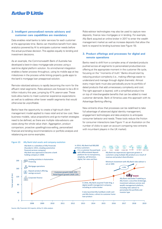#### **2. Intelligent personalized remote advisory and customer care capabilities are mandatory**

Data enables retail banks to tailor services for each customer at the appropriate time. Banks can therefore benefit from data analytics powered by AI to anticipate customer needs before the actual purchase decision. This applies equally to lending and investment decisions.

As an example, the Commonwealth Bank of Australia has developed a best-in-class mortgage-sale process using a real-time digital platform solution. Its omnichannel integration enables a faster process throughout, using its mobile app at key milestones in the process while linking property guide apps to the bank's mortgage loan preapproval solution.

Remote robotized advisory is rapidly becoming the norm for the affluent retail segments. Robo-advisors are forecast to be a \$1.4 trillion industry this year, jumping by 47% year-on-year. These tools allow banks to meet customer experience expectations as well as to address other lower wealth segments that would otherwise be unprofitable.

Banks have the opportunity to create a high-touch client management model applied to mass retail and at low cost. New business models, value propositions and go-to-market strategies need to be defined, as there are multiple robo-advisors use cases along the whole value chain. Aggregation, product comparison, proactive upselling/cross-selling, personalized financial and lending recommendations or portfolio analysis and rebalancing are some examples.

Robo-advisor technologies may also be used to capture new deposits, finance new mortgages or in lending. For example, Ally Bank acquired an online broker in 2017 to enter the wealth management market as well as increase deposits that allow the bank to expand its lending business (see Figure 10).

#### **3. Product offerings and processes for digital and remote operations**

Banks need to shift from a complex array of standard products pushed across all segments to personalized product/service offering at the appropriate moment in the customer life cycle, focusing on the "moments of truth." Banks should start by reducing product complexity (i.e., making offerings easier to understand and manage through digital channels). Almost every major bank must also periodically prune its portfolio of dated products that add unnecessary complexity and cost. The right approach is layered, with a simplified product line on top of interchangeable benefits that can be added to meet customer demands. Bank of America uses this approach with its Advantage Banking offering.

New entrants show that processes can be redefined to take full advantage of advanced digital identity management, engagement technologies and data analytics to anticipate consumer behavior and needs. These tools reduce the friction for consumer interactions (see Figure 11 as an illustration on the number of clicks to open an account comparing new entrants with incumbent players in the UK market).



Source: Ally Financials 10-K reports, Arthur D. Little analysis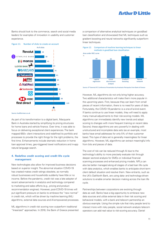Banks should look to the commerce, search and social media leaders for examples of innovation in usability and customer experience.



Source: builtformars.co.uk

As part of its transformation to a digital bank, Macquarie Bank in Australia started by simplifying its pricing structures for home loans and vehicle finance. Over time, it was able to focus on delivering exceptional client experiences. The bank mapped 650+ client interactions and redefined its portfolio and processes to provide the right things for the right problems, the first time. Enhancements include dramatic reduction in home loan approval times, geo-triggered travel notifications and in-app natural language search.

### **4. Redefine credit scoring and credit life cycle management**

New technologies also allow for improved business decisions based on superior insight. The abnormal situation COVID-19 has created makes credit ratings obsolete, as normally robust businesses and households suddenly have little or no income. Before the pandemic, credit risk was a late adopter of recent advancements in analytics and technology compared to marketing and sales efforts (e.g., pricing and product recommendation engines). However, post-COVID-19 times will put significant pressure on banks to embrace the "new normal" in credit risk, which will be driven by machine learning (ML) algorithms, external data sources and AI-empowered processes.

ML algorithms in credit risk scoring now outperform traditional "linearized" approaches. In 2018, the Bank of Greece presented a comparison of alternative analytical techniques on good/bad loan classification and showcased that ML techniques such as gradient boosting and neural networks significantly outperform linear techniques.

Figure 12: Comparison of machine learning techniques to linear methods in good/bad loan classification



Source: 9th biennial IFC Conference Presentation by Anastasio Petropulos from Bank of Greece

However, ML algorithms do not only bring higher accuracy. Two additional characteristics will make them more popular in the upcoming years. First, because they can learn from small pieces of recent information, there is no need for years of data. Fortunately, the COVID-19 pandemic is a one-of-a-kind event. If banks continue to use linear models, they will need to apply many manual adjustments to their risk-scoring models. ML algorithms can immediately identify new trends and adopt scoring to changes with more frequent training on recent data. Second, these algorithms are very powerful in dealing with unstructured and incomplete data sets (as an example, most banks have email addresses for only 5% of their customer base). This type of data set is generally meaningless for linear algorithms. However, ML algorithms can extract meaningful info from bits and pieces of data.

The cost of risk can be reduced through AI due to the technology's ability to more precisely evaluate risk through deeper sectoral analysis for SMEs or individual financial scanning processes and enhanced pricing models. NPLs can also be better managed along all stages of a bad loan life cycle with data analytics, which enables banks to anticipate short-term client default situation and resolve them. New entrants, such as the UK's OakNorth Bank, are using data- and technology-driven solutions to enable smarter decision making across the loan life cycle.

Partnerships between corporations are evolving through data as well. Banks have a big opportunity to embrace new data sources and utilize external data in their risk scoring and behavioral models, with a bank and telecom partnership an obvious example. Using the simple rule that risky people tend to interact more with risky people, social network analysis telecom operators can add real value to risk-scoring accuracy. Daniel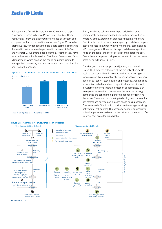Björkegren and Darrell Grissen, in their 2019 research paper "Behavior Revealed in Mobile Phone Usage Predicts Credit Repayment," show the enormous importance of telecom data compared to that of the credit bureaus (see Figure 13). Another alternative industry for banks to build a data partnership may be the retail industry, where the partnership between Alfa-Bank and X5 Retail Group offers a good example. Together, they have launched a customizable service, Distributed Treasury and Cash Management, which enables the bank's corporate clients to manage their payments, loan and deposit products and liquidity pool inside the holding.





Source: Daniel Björkegren and Darrell Grissen (2019)

%

Figure 14: Changes in AI-empowered credit processes

Finally, math and science are only powerful when used pragmatically and are embedded into daily business. This is where AI-empowered credit processes become important. Traditionally, credit life cycle is managed by models and expertbased rulesets from underwriting, monitoring, collection and NPL management. However, this approach leaves significant value on the table in terms of both risk and operations cost. Banks that can improve their processes with AI can decrease costs by an additional 20–30%.

The changes in the AI-empowered journey are shown in Figure 14. It requires rethinking of the majority of credit life cycle processes with AI in mind as well as considering new terminologies that are continually emerging. AI can open new doors in call center–based collection processes. Agent pairing in collection, which matches an agent's characteristics with a customer profile to improve collection performance, is an example of an area that many researchers and technology companies are considering. Banks do not need to reinvent the wheel. There are many startup technology companies that can offer these services on success-based pricing schemes. One example is Afiniti, which provides AI-based agent-pairing software for call centers. The company claims it can improve collection performance by more than 15% and is eager to offer free/low-cost pilots for large banks.



Source: Arthur D. Little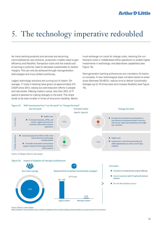## 5. The technology imperative redoubled

As many banking products and services are becoming commoditized by new entrants, production models need to gain efficiency and flexibility. Transaction costs and the overall cost of serving a customer need to decrease substantially to restore margins. This can only be achieved through next-generation technologies and more skilled workforces.

Legacy technology solutions are running out of steam. On average, IT costs in banking have grown at approximately 4% CAGR since 2013, wiping out cost-reduction efforts in people and real estate. Making matters worse, less than 20% of IT spend is devoted to making changes to the bank. This share tends to be even smaller in times of economic hardship. Banks must exchange run costs for change costs, reducing the runthe-bank costs in middle-/back-office operations to enable higher investments in technology- and data-driven capabilities (see Figure 15).

Next-generation banking architectures are mandatory for banks to compete. A new technological stack will allow banks to lower costs (between 30–60%), reduce time to deliver functionality changes (up to 10 times less) and increase flexibility (see Figure 16).



Source: Arthur D. Little analysis

Note (1) Data for functionalities with a medium complexity which includes adding a family member as a joint account from any device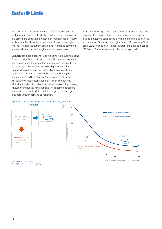Next-generation platforms are more efficient, leveraging the cost advantages of the cloud, allowing for greater automation and eliminating contractors focused on maintenance of legacy applications. Reaching the full potential of new technologies implies revisiting the current back-office format and delivering greater industrialization through end-to-end automation.

Mutualization adds a second lever in dealing with ever-increasing IT costs. A significant amount of banks' IT costs are devoted to non-differentiating functions (transaction recording, regulatory compliance) or to functions that would greatly benefit from increased scale (risk analysis). Mutualizing costs could add significant savings to the bottom line without limiting the opportunities for differentiation. Mid-size and small banks can achieve greater advantages from this scale economy. Mutualization also allows banks to share the risks of technology innovation and legacy migration and to strengthen bargaining power (on costs and lock-in conditions) against technology providers through demand cooperation.

Facing the challenge of complex IT transformation projects that have crippled many banks in the past, a significant number of leading institutions consider building a greenfield digital bank as an alternative. Openbank, the digital bank of Santander in Spain, Bank Leumi's digital bank Pepper in Israel and Equitable Bank's EQ Bank in Canada are all examples of this approach.

#### Figure 17: "Cash costs" projections of the technology platform<sup>1</sup> Two levers *€ per*





Source: Arthur D. Little analysis Note: (1) Same level of product complexity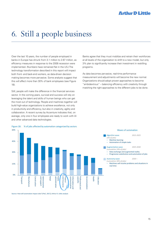## 6. Still a people business

Over the last 10 years, the number of people employed in banks in Europe has shrunk from 3.1 million to 2.67 million, as efficiency measures in response to the 2008 recession were implemented. (Numbers have remained flat in the US.) The technology transformation described in this report will impact both front- and back-end workers, as data-driven decision making becomes more pervasive. Some analysts suggest that this will affect more than 30% of bank employees (see Figure 18).

Still, people will make the difference in the financial services sector. In the coming years, survival and success will rely on leveraging the talent and skills of human beings who can get the most out of technology. People and machines together will build high-value organizations to achieve excellence, not only in productivity and efficiency, but also in creativity, agility and collaboration. A recent survey by Accenture indicates that, on average, only one in four employees are ready to work with AI and other advanced data technologies.



As data becomes pervasive, real-time performance measurement and adjustments will become the new normal. Organizations should adopt proven approaches to become "ambidextrous" – balancing efficiency with creativity through matching the right approaches to the different jobs to be done.



Source: How will automation impact Jobs? (PwC, 2017), Arthur D. Little analysis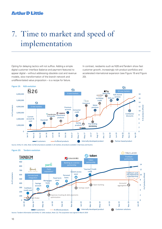## 7. Time to market and speed of implementation

Opting for delaying tactics will not suffice. Adding a simple digital customer interface (balance and payment features) to appear digital – without addressing obsolete cost and revenue models, slow transformation of the branch network and undifferentiated value proposition – is a recipe for failure.

In contrast, neobanks such as N26 and Tandem show fast customer growth, increasingly rich product portfolios and accelerated international expansion (see Figure 19 and Figure 20).



Source: Arthur D. Little, Note: (1) Not all products available in all markets; all products available in Germany and Austria

Figure 20: Tandem evolution



Source: Tandem information and Arthur D. Little analysis, Note: (1): The acquisition was signed in March 2019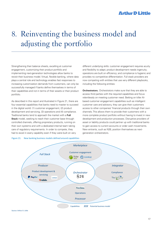## 8. Reinventing the business model and adjusting the portfolio

Strengthening their balance sheets, excelling at customer engagement, customizing their product portfolio and implementing next-generation technologies allow banks to revisit their business model. Virtual, flexible banking, where data plays a central role and technology enables fast responses to increasing customization demands from customers, can only be successfully managed if banks define themselves in terms of their capabilities and not in terms of their assets or their product portfolio.

As described in this report and illustrated in Figure 21, there are four essential capabilities that banks need to master to succeed in the digital world: (1) customer engagement, (2) product development and servicing, (3) operations and (4) compliance. Traditional banks tend to approach the market with a **Full Stack** model, seeking to reach their customer base through controlled channels, offering proprietary products, running on their own systems and with a dedicated internal team taking care of regulatory requirements. In order to compete, they had to excel in every capability even if they were built on very

Figure 21: New banking business models defined around capabilities

different underlying skills: customer engagement requires acuity and flexibility to adapt; product development needs ingenuity; operations are built on efficiency; and compliance is hygienic and provides no competitive differentiation. Full stack providers are now competing with entities that use very different playbooks, including the following entities:

**Orchestrators.** Orchestrators make sure that they are able to access third parties with the required capabilities and focus relentlessly on meeting customer need. Betting on killer AIbased customer engagement capabilities such as intelligent customer care and advisory, they can give their customers access to other companies' financial products through their own channels. This allows them to provide their customers with a more complete product portfolio without having to invest in new development and production processes. Disruptive providers of asset or liability products could partner up with traditional banks to gain access to current accounts or order cash movements. New entrants, such as N26, position themselves as nextgeneration orchestrators.

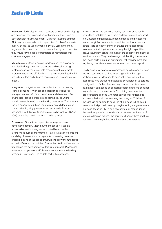**Producers.** Technology allows producers to focus on developing and delivering best-in-class financial products. They focus on laser-precision risk management (Oaktree), investing acumen (Nutmeg) or advanced crypto capabilities (Coinbase), deposits (Raisin) or easy-to-use payments (PayPal). Sometimes they might decide to reach out to customers directly but more often, they would rely on open orchestrators or marketplaces for customer engagement.

**Marketplaces.** Marketplace players leverage the capabilities provided by integrators and producers and excel at using customer engagement and data management to anticipate customer needs and efficiently serve them. Many fintech thirdparty distributors and advisors have selected this competitive model.

**Integrators.** Integrators are companies that own a banking license, combine IT with banking capabilities (strong risk management and efficient operations capabilities) and offer private-label banking products and technology solutions (banking-as-a-platform) to non-banking companies. Their strength lies in a sophisticated three-tier information architecture and strong risk-mitigating processes. An example is Bancorp's partnership with Simple (a banking startup bought by BBVA in 2014) to provide it with back-end banking services.

**Processors.** Operational capabilities emerge as a new competitive domain. Most incumbent banks still use oldfashioned operations engines supported by monolithic architectures such as mainframes. Players with a more efficient capability of transactions or payments processing can now offload big parts of the banks' structures to allow them to focus on their differential capabilities. Companies like First Data are the first step in the development of this kind of model. Processors must excel in operations efficiency to compete as the leading commodity provider at the middle-back office services.

When choosing the business model, banks must select the capabilities that differentiate them and that can set them apart (e.g., customer intelligence, product offering and processing, respectively). For commodity capabilities, banks can rely on others (third parties) or they can provide these capabilities to others mutualizing them. Accessing the right capabilities allows incumbent banks to remain at the center of the financial services industry. They can leverage their banking licenses and their deep skills in product distribution, risk management and regulatory compliance to own customers and book deposits.

Equity consumption remains paramount, so whatever business model a bank chooses, they must engage in a thorough analysis of capital allocation to avoid value destruction. The capabilities lens provides an additional consideration to portfolio configurations. Rather than seeking volume to achieve scale advantages, competing on capabilities forces banks to consider a granular view of shared skills. Combining investment and large corporate banking with retail services for households adds complexity without any tangible synergies. This line of thought can be applied to each line of business, which could mean a radical portfolio revamp, maybe exiting the government business, focusing SMEs on a few centers or reconsidering the services provided to residential customers. At the core of strategic decision making, the ability to choose where and how not to compete might become the critical competence.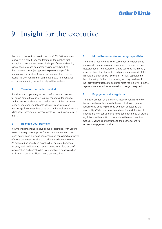## 9. Insight for the executive

Banks will play a critical role in the post-COVID-19 economic recovery, but only if they can transform themselves fast enough to meet the economic challenge of cost leadership, capital adequacy and customer engagement. Short of this metamorphosis (as opposed to previous superficial transformation initiatives), banks will not only fail to be the economic lever required for corporate growth and renewed consumer spending but will simply fail themselves.

#### **1 Transform or be left behind**

If business and operating model transformations were key for banks before the crisis, it is now imperative for financial institutions to accelerate the transformation of their business models, operating model costs, delivery capabilities and technology. They must dare to be bold in the choices they make. Marginal or incremental improvements will not be able to save them.

### **2 Reshape your portfolio**

Incumbent banks tend to have complex portfolios, with varying levels of equity consumption. Banks must understand how much equity each business consumes and consider divestments of those businesses unable to provide the adequate returns. As different business lines might call for different business models, banks will have to manage complexity. Further portfolio simplification and shareholder value creation is possible when banks can share capabilities across business lines.

#### **3 Mutualize non-differentiating capabilities**

The banking industry has historically been very reluctant to find ways to create scale and economies of scope through mutualization of non-customer-related activities. As a result, value has been transferred to third-party outsourcers to fulfill this role, although banks have so far not fully capitalized on their offshoring. Perhaps the banking industry can learn from their previously successful sectorial initiatives like SWIFT in the payment arena at a time when radical change is required.

#### **4 Engage with the regulator**

The financial strain on the banking industry requires a new dialogue with regulators, with the aim of allowing greater flexibility and enabling banks to be better adapted to the new reality. While many regulators have favored the rise of fintechs and non-banks, banks have been hampered by archaic regulations in their ability to compete with new disruptive models. Given their importance to the economy and its recovery, engagement is vital.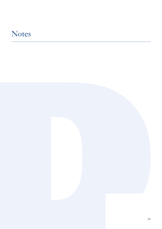## Notes

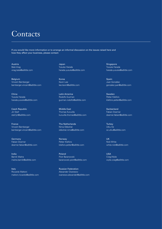## **Contacts**

If you would like more information or to arrange an informal discussion on the issues raised here and how they affect your business, please contact:

Austria Bela Virag virag.bela@adlittle.com

Belgium Vincent Bamberger bamberger.vincent@adlittle.com

China Yusuke Harada harada.yusuke@adlittle.com

Czech Republic Jiri Steif steif.jiri@adlittle.com

France Vincent Bamberger bamberger.vincent@adlittle.com

Germany Fabian Doemer doemer.fabian@adlittle.com

India Barnik Maitra maitra.barnik@adlittle.com

Italy Riccardo Maltoni maltoni.riccardo@adlittle.com Japan Yusuke Harada harada.yusuke@adlittle.com

Korea Kevin Lee lee.kevin@adlittle.com

Latin America Rodolfo Guzman guzman.rodolfo@adlittle.com

Middle East Thomas Kuruvilla kuruvilla.thomas@adlittle.com

The Netherlands Nima Obbohat obbohat.nima@adlittle.com

Norway Petter Kilefors kilefors.petter@adlittle.com

Poland Piotr Baranowski baranowski.piotr@adlittle.com

Russian Federation Alexander Ovanesov ovanesov.alexander@adlittle.com Singapore Yusuke Harada harada.yusuke@adlittle.com

Spain Juan González gonzalez.juan@adlittle.com

Sweden Petter Kilefors kilefors.petter@adlittle.com

**Switzerland** Fabian Doemer doemer.fabian@adlittle.com

**Turkey** Utku Oz oz.utku@adlittle.com

UK Nick White white.nick@adlittle.com

USA Craig Wylie wylie.craig@adlittle.com